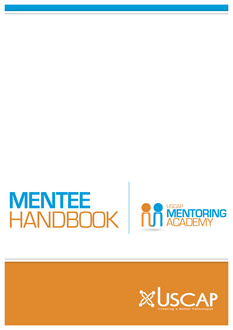# MENTEE<br>HANDBOOK | F



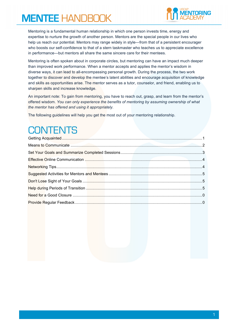

Mentoring is a fundamental human relationship in which one person invests time, energy and expertise to nurture the growth of another person. Mentors are the special people in our lives who help us reach our potential. Mentors may range widely in style—from that of a persistent encourager who boosts our self-confidence to that of a stern taskmaster who teaches us to appreciate excellence in performance—but mentors all share the same sincere care for their mentees.

Mentoring is often spoken about in corporate circles, but mentoring can have an impact much deeper than improved work performance. When a mentor accepts and applies the mentor's wisdom in diverse ways, it can lead to all-encompassing personal growth. During the process, the two work together to discover and develop the mentee's latent abilities and encourage acquisition of knowledge and skills as opportunities arise. The mentor serves as a tutor, counselor, and friend, enabling us to sharpen skills and increase knowledge.

An important note: To gain from mentoring, you have to reach out, grasp, and learn from the mentor's offered wisdom. *You can only experience the benefits of mentoring by assuming ownership of what the mentor has offered and using it appropriately.* 

The following guidelines will help you get the most out of your mentoring relationship.

## **CONTENTS**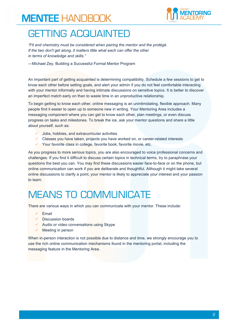

#### GETTING ACQUAINTED

*"Fit and chemistry must be considered when pairing the mentor and the protégé. If the two don't get along, it matters little what each can offer the other in terms of knowledge and skills."*

—Michael Zey, Building a Successful Formal Mentor Program

An important part of getting acquainted is determining compatibility. Schedule a few sessions to get to know each other before setting goals, and alert your admin if you do not feel comfortable interacting with your mentor informally and having intimate discussions on sensitive topics. It is better to discover an imperfect match early on than to waste time in an unproductive relationship.

To begin getting to know each other, online messaging is an unintimidating, flexible approach. Many people find it easier to open up to someone new in writing. Your Mentoring Area includes a messaging component where you can get to know each other, plan meetings, or even discuss progress on tasks and milestones. To break the ice, ask your mentor questions and share a little about yourself, such as:

- $\checkmark$  Jobs, hobbies, and extracurricular activities
- $\checkmark$  Classes you have taken, projects you have worked on, or career-related interests
- $\checkmark$  Your favorite class in college, favorite book, favorite movie, etc.

As you progress to more serious topics, you are also encouraged to voice professional concerns and challenges. If you find it difficult to discuss certain topics in technical terms, try to paraphrase your questions the best you can. You may find these discussions easier face-to-face or on the phone, but online communication can work if you are deliberate and thoughtful. Although it might take several online discussions to clarify a point, your mentor is likely to appreciate your interest and your passion to learn.

### MEANS TO COMMUNICATE

There are various ways in which you can communicate with your mentor. These include:

- $\checkmark$  Email
- $\checkmark$  Discussion boards
- $\checkmark$  Audio or video conversations using Skype
- $\checkmark$  Meeting in person

When in-person interaction is not possible due to distance and time, we strongly encourage you to use the rich online communication mechanisms found in the mentoring portal, including the messaging feature in the Mentoring Area.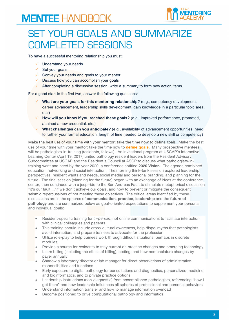

#### SET YOUR GOALS AND SUMMARIZE COMPLETED SESSIONS

To have a successful mentoring relationship you must:

- $\checkmark$  Understand your needs
- $\checkmark$  Set your goals
- $\checkmark$  Convey your needs and goals to your mentor
- $\checkmark$  Discuss how you can accomplish your goals
- $\checkmark$  After completing a discussion session, write a summary to form new action items

For a good start to the first two, answer the following questions:

- ü **What are your goals for this mentoring relationship?** (e.g., competency development, career advancement, leadership skills development, gain knowledge in a particular topic area, etc.)
- ü **How will you know if you reached these goals?** (e.g., improved performance, promoted, attained a new credential, etc.)
- ü **What challenges can you anticipate?** (e.g., availability of advancement opportunities, need to further your formal education, length of time needed to develop a new skill or competency)

Make the best use of your time with your mentor: take the time now to define goals. Make the best use of your time with your mentor: take the time now to **define goals**. Many prospective mentees will be pathologists-in-training (residents, fellows). An invitational program at USCAP's Interactive Learning Center (April 19, 2017) united pathology resident leaders from the Resident Advisory Subcommittee at USCAP and the Resident's Council at ASCP to discuss what pathologists-intraining want and need by the year 2020, a conference entitled **2020 Vision**. The agenda combined education, networking and social interaction. The morning think-tank session explored leadership perspectives, resident wants and needs, social medial and personal branding, and planning for the future. The final session (planning for the future) began with an exchange of ideas at the conference center, then continued with a jeep ride to the San Andreas Fault to stimulate metaphorical discussion "it's our fault...."if we don't achieve our goals, and how to prevent or mitigate the consequent seismic repercussions of not meeting these objectives. The critical areas identified by these discussions are in the spheres of **communication**, **practice**, **leadership** and the **future of pathology** and are summarized below as goal-oriented expectations to supplement your personal and individual goals:

- Resident-specific training for *in-person*, not online communications to facilitate interaction with clinical colleagues and patients
- This training should include cross-cultural awareness, help dispel myths that pathologists avoid interaction, and prepare trainees to advocate for the profession
- Utilize role-play to help trainees work through difficult situations, perhaps in discrete modules
- Provide a source for residents to stay current on practice changes and emerging technology
- Learn billing (including the ethics of billing), coding, and how nomenclature changes by payer annually
- Shadow a laboratory director or lab manager for direct observations of administrative responsibilities and functions
- Early exposure to digital pathology for consultations and diagnostics, personalized medicine and bioinformatics, and to private practice options
- Leadership instructions (non-diagnostic) from accomplished pathologists, referencing "how I got there" and how leadership influences all spheres of professional and personal behaviors
- Understand information transfer and how to manage information overload
- Become positioned to drive computational pathology and informatics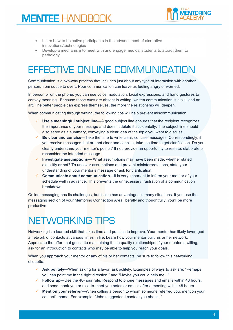

- Learn how to be active participants in the advancement of disruptive innovations/technologies
- Develop a mechanism to meet with and engage medical students to attract them to pathology

## EFFECTIVE ONLINE COMMUNICATION

Communication is a two-way process that includes just about any type of interaction with another person, from subtle to overt. Poor communication can leave us feeling angry or worried.

In person or on the phone, you can use voice modulation, facial expressions, and hand gestures to convey meaning. Because those cues are absent in writing, written communication is a skill and an art. The better people can express themselves, the more the relationship will deepen.

When communicating through writing, the following tips will help prevent miscommunication.

- ü **Use a meaningful subject line—**A good subject line ensures that the recipient recognizes the importance of your message and doesn't delete it accidentally. The subject line should also serve as a summary, conveying a clear idea of the topic you want to discuss.
- ü **Be clear and concise—**Take the time to write clear, concise messages. Correspondingly, if you receive messages that are not clear and concise, take the time to get clarification. Do you clearly understand your mentor's points? If not, provide an opportunity to restate, elaborate or reconsider the intended message.
- ü **Investigate assumptions—** What assumptions may have been made, whether stated explicitly or not? To uncover assumptions and prevent misinterpretations, state your understanding of your mentor's message or ask for clarification.
- **Communicate about communication—It is very important to inform your mentor of your** schedule well in advance. This prevents the unnecessary frustration of a communication breakdown.

Online messaging has its challenges, but it also has advantages in many situations. If you use the messaging section of your Mentoring Connection Area liberally and thoughtfully, you'll be more productive.

# NETWORKING TIPS

Networking is a learned skill that takes time and practice to improve. Your mentor has likely leveraged a network of contacts at various times in life. Learn how your mentor built his or her network. Appreciate the effort that goes into maintaining these quality relationships. If your mentor is willing, ask for an introduction to contacts who may be able to help you reach your goals.

When you approach your mentor or any of his or her contacts, be sure to follow this networking etiquette:

- ü **Ask politely**—When asking for a favor, ask politely. Examples of ways to ask are: "Perhaps you can point me in the right direction," and "Maybe you could help me..."
- $\checkmark$  Follow up—Use the 48-hour rule. Respond to phone messages and emails within 48 hours, and send thank-you or nice-to-meet-you notes or emails after a meeting within 48 hours.
- ü **Mention your referrer**—When calling a person to whom someone referred you, mention your contact's name. For example, "John suggested I contact you about..."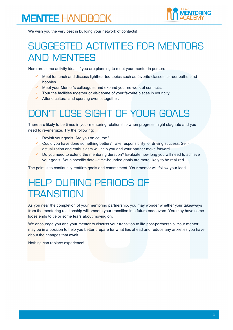

We wish you the very best in building your network of contacts!

#### SUGGESTED ACTIVITIES FOR MENTORS AND MENTEES

Here are some activity ideas if you are planning to meet your mentor in person:

- Meet for lunch and discuss lighthearted topics such as favorite classes, career paths, and hobbies.
- Meet your Mentor's colleagues and expand your network of contacts.
- $\checkmark$  Tour the facilities together or visit some of your favorite places in your city.
- $\checkmark$  Attend cultural and sporting events together.

#### DON'T LOSE SIGHT OF YOUR GOALS

There are likely to be times in your mentoring relationship when progress might stagnate and you need to re-energize. Try the following:

- Revisit your goals. Are you on course?
- $\checkmark$  Could you have done something better? Take responsibility for driving success. Selfactualization and enthusiasm will help you and your partner move forward.
- Do you need to extend the mentoring duration? Evaluate how long you will need to achieve your goals. Set a specific date—time-bounded goals are more likely to be realized.

The point is to continually reaffirm goals and commitment. Your mentor will follow your lead.

#### HELP DURING PERIODS OF **TRANSITION**

As you near the completion of your mentoring partnership, you may wonder whether your takeaways from the mentoring relationship will smooth your transition into future endeavors. You may have some loose ends to tie or some fears about moving on.

We encourage you and your mentor to discuss your transition to life post-partnership. Your mentor may be in a position to help you better prepare for what lies ahead and reduce any anxieties you have about the changes that await.

Nothing can replace experience!